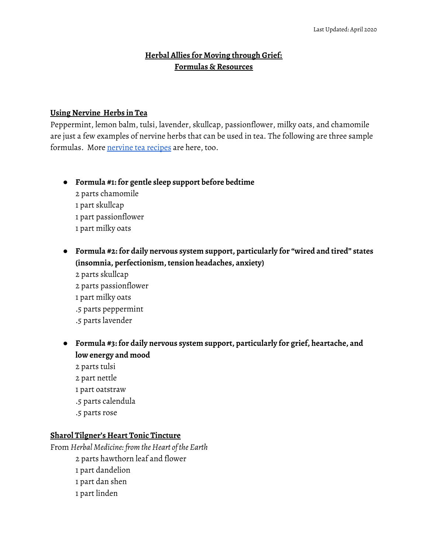## **Herbal Allies for Moving through Grief: Formulas & Resources**

#### **Using Nervine Herbs in Tea**

Peppermint, lemon balm, tulsi, lavender, skullcap, passionflower, milky oats, and chamomile are just a few examples of nervine herbs that can be used in tea. The following are three sample formulas. More [nervine](https://blog.mountainroseherbs.com/stress-less-tea-recipes) tea recipes are here, too.

### **● Formula #1: for gentle sleep support before bedtime**

- 2 parts chamomile 1 part skullcap 1 part passionflower 1 part milky oats
- **● Formula #2: for daily nervous system support, particularly for "wired and tired" states (insomnia, perfectionism, tension headaches, anxiety)**
	- 2 parts skullcap 2 parts passionflower 1 part milky oats .5 parts peppermint .5 parts lavender
- **● Formula #3: for daily nervous system support, particularly for grief, heartache, and low energy and mood**
	- 2 parts tulsi
	- 2 part nettle
	- 1 part oatstraw
	- .5 parts calendula
	- .5 parts rose

#### **Sharol Tilgner's Heart Tonic Tincture**

From *Herbal Medicine: from the Heart of the Earth* parts hawthorn leaf and flower part dandelion part dan shen part linden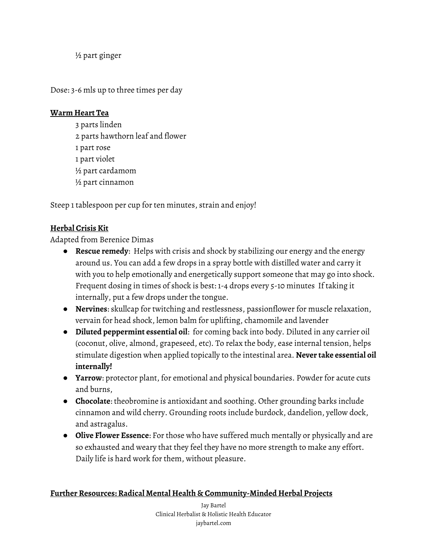½ part ginger

Dose: 3-6 mls up to three times per day

## **Warm Heart Tea**

 parts linden parts hawthorn leaf and flower part rose part violet ½ part cardamom ½ part cinnamon

Steep 1 tablespoon per cup for ten minutes, strain and enjoy!

# **Herbal Crisis Kit**

Adapted from Berenice Dimas

- **Rescue remedy**: Helps with crisis and shock by stabilizing our energy and the energy around us. You can add a few drops in a spray bottle with distilled water and carry it with you to help emotionally and energetically support someone that may go into shock. Frequent dosing in times of shock is best: 1-4 drops every 5-10 minutes If taking it internally, put a few drops under the tongue.
- **Nervines**: skullcap for twitching and restlessness, passionflower for muscle relaxation, vervain for head shock, lemon balm for uplifting, chamomile and lavender
- **Diluted peppermint essential oil**: for coming back into body. Diluted in any carrier oil (coconut, olive, almond, grapeseed, etc). To relax the body, ease internal tension, helps stimulate digestion when applied topically to the intestinal area. **Never take essential oil internally!**
- **Yarrow**: protector plant, for emotional and physical boundaries. Powder for acute cuts and burns,
- **Chocolate**: theobromine is antioxidant and soothing. Other grounding barks include cinnamon and wild cherry. Grounding roots include burdock, dandelion, yellow dock, and astragalus.
- **Olive Flower Essence**: For those who have suffered much mentally or physically and are so exhausted and weary that they feel they have no more strength to make any effort. Daily life is hard work for them, without pleasure.

## **Further Resources: Radical Mental Health & Community-Minded Herbal Projects**

Jay Bartel Clinical Herbalist & Holistic Health Educator jaybartel.com